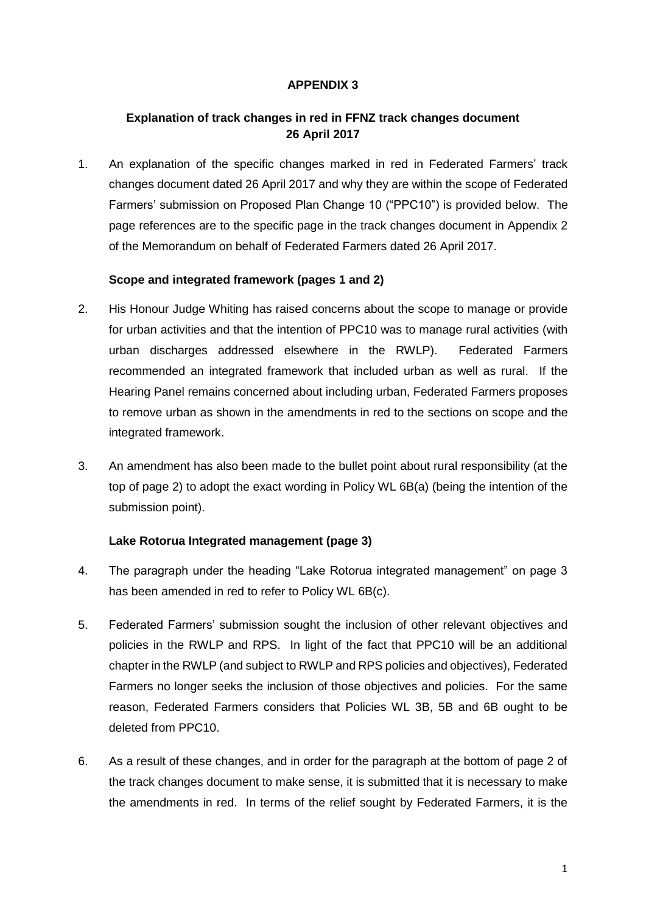### **APPENDIX 3**

### **Explanation of track changes in red in FFNZ track changes document 26 April 2017**

1. An explanation of the specific changes marked in red in Federated Farmers' track changes document dated 26 April 2017 and why they are within the scope of Federated Farmers' submission on Proposed Plan Change 10 ("PPC10") is provided below. The page references are to the specific page in the track changes document in Appendix 2 of the Memorandum on behalf of Federated Farmers dated 26 April 2017.

### **Scope and integrated framework (pages 1 and 2)**

- 2. His Honour Judge Whiting has raised concerns about the scope to manage or provide for urban activities and that the intention of PPC10 was to manage rural activities (with urban discharges addressed elsewhere in the RWLP). Federated Farmers recommended an integrated framework that included urban as well as rural. If the Hearing Panel remains concerned about including urban, Federated Farmers proposes to remove urban as shown in the amendments in red to the sections on scope and the integrated framework.
- 3. An amendment has also been made to the bullet point about rural responsibility (at the top of page 2) to adopt the exact wording in Policy WL 6B(a) (being the intention of the submission point).

#### **Lake Rotorua Integrated management (page 3)**

- 4. The paragraph under the heading "Lake Rotorua integrated management" on page 3 has been amended in red to refer to Policy WL 6B(c).
- 5. Federated Farmers' submission sought the inclusion of other relevant objectives and policies in the RWLP and RPS. In light of the fact that PPC10 will be an additional chapter in the RWLP (and subject to RWLP and RPS policies and objectives), Federated Farmers no longer seeks the inclusion of those objectives and policies. For the same reason, Federated Farmers considers that Policies WL 3B, 5B and 6B ought to be deleted from PPC10.
- 6. As a result of these changes, and in order for the paragraph at the bottom of page 2 of the track changes document to make sense, it is submitted that it is necessary to make the amendments in red. In terms of the relief sought by Federated Farmers, it is the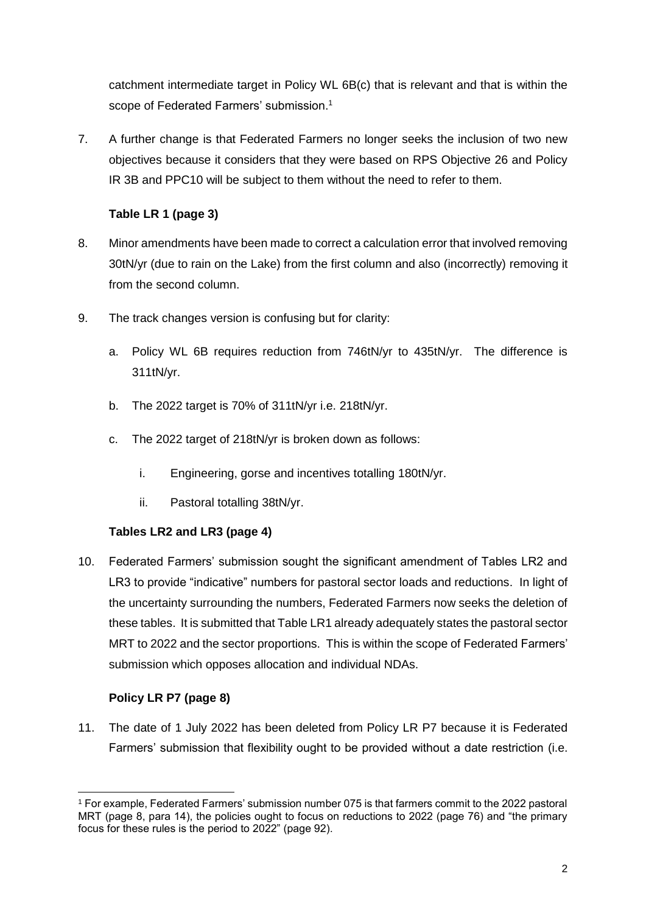catchment intermediate target in Policy WL 6B(c) that is relevant and that is within the scope of Federated Farmers' submission.<sup>1</sup>

7. A further change is that Federated Farmers no longer seeks the inclusion of two new objectives because it considers that they were based on RPS Objective 26 and Policy IR 3B and PPC10 will be subject to them without the need to refer to them.

# **Table LR 1 (page 3)**

- 8. Minor amendments have been made to correct a calculation error that involved removing 30tN/yr (due to rain on the Lake) from the first column and also (incorrectly) removing it from the second column.
- 9. The track changes version is confusing but for clarity:
	- a. Policy WL 6B requires reduction from 746tN/yr to 435tN/yr. The difference is 311tN/yr.
	- b. The 2022 target is 70% of 311tN/yr i.e. 218tN/yr.
	- c. The 2022 target of 218tN/yr is broken down as follows:
		- i. Engineering, gorse and incentives totalling 180tN/yr.
		- ii. Pastoral totalling 38tN/yr.

# **Tables LR2 and LR3 (page 4)**

10. Federated Farmers' submission sought the significant amendment of Tables LR2 and LR3 to provide "indicative" numbers for pastoral sector loads and reductions. In light of the uncertainty surrounding the numbers, Federated Farmers now seeks the deletion of these tables. It is submitted that Table LR1 already adequately states the pastoral sector MRT to 2022 and the sector proportions. This is within the scope of Federated Farmers' submission which opposes allocation and individual NDAs.

# **Policy LR P7 (page 8)**

11. The date of 1 July 2022 has been deleted from Policy LR P7 because it is Federated Farmers' submission that flexibility ought to be provided without a date restriction (i.e.

<sup>-</sup><sup>1</sup> For example, Federated Farmers' submission number 075 is that farmers commit to the 2022 pastoral MRT (page 8, para 14), the policies ought to focus on reductions to 2022 (page 76) and "the primary focus for these rules is the period to 2022" (page 92).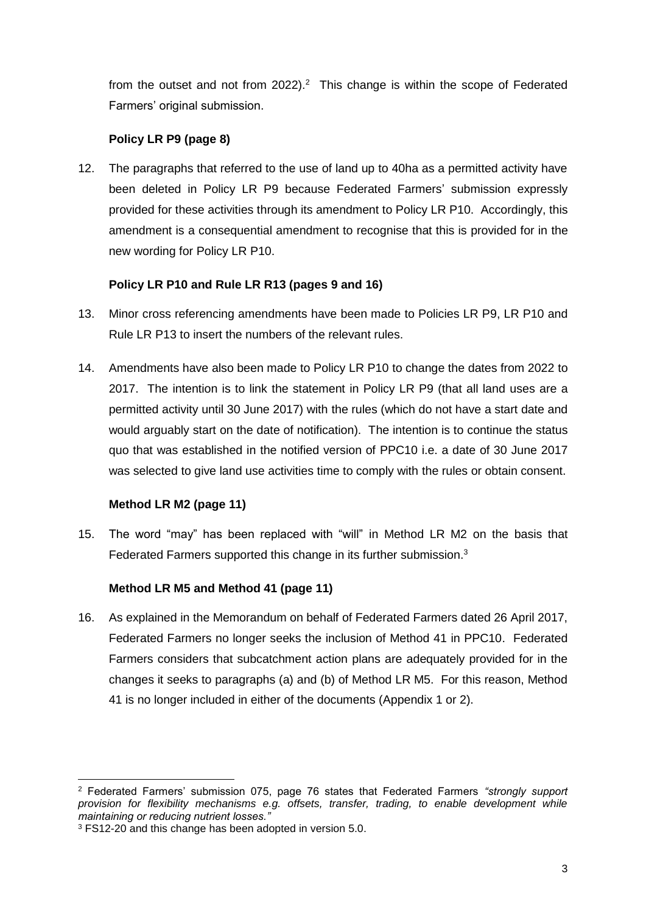from the outset and not from  $2022$ ).<sup>2</sup> This change is within the scope of Federated Farmers' original submission.

### **Policy LR P9 (page 8)**

12. The paragraphs that referred to the use of land up to 40ha as a permitted activity have been deleted in Policy LR P9 because Federated Farmers' submission expressly provided for these activities through its amendment to Policy LR P10. Accordingly, this amendment is a consequential amendment to recognise that this is provided for in the new wording for Policy LR P10.

## **Policy LR P10 and Rule LR R13 (pages 9 and 16)**

- 13. Minor cross referencing amendments have been made to Policies LR P9, LR P10 and Rule LR P13 to insert the numbers of the relevant rules.
- 14. Amendments have also been made to Policy LR P10 to change the dates from 2022 to 2017. The intention is to link the statement in Policy LR P9 (that all land uses are a permitted activity until 30 June 2017) with the rules (which do not have a start date and would arguably start on the date of notification). The intention is to continue the status quo that was established in the notified version of PPC10 i.e. a date of 30 June 2017 was selected to give land use activities time to comply with the rules or obtain consent.

### **Method LR M2 (page 11)**

15. The word "may" has been replaced with "will" in Method LR M2 on the basis that Federated Farmers supported this change in its further submission.<sup>3</sup>

# **Method LR M5 and Method 41 (page 11)**

16. As explained in the Memorandum on behalf of Federated Farmers dated 26 April 2017, Federated Farmers no longer seeks the inclusion of Method 41 in PPC10. Federated Farmers considers that subcatchment action plans are adequately provided for in the changes it seeks to paragraphs (a) and (b) of Method LR M5. For this reason, Method 41 is no longer included in either of the documents (Appendix 1 or 2).

-

<sup>2</sup> Federated Farmers' submission 075, page 76 states that Federated Farmers *"strongly support provision for flexibility mechanisms e.g. offsets, transfer, trading, to enable development while maintaining or reducing nutrient losses."*

<sup>3</sup> FS12-20 and this change has been adopted in version 5.0.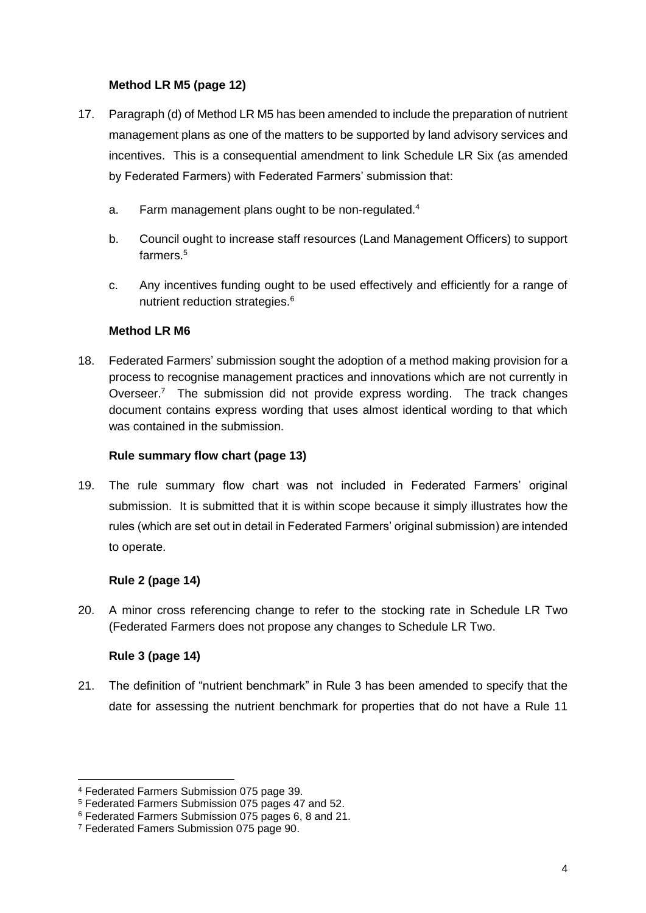## **Method LR M5 (page 12)**

- 17. Paragraph (d) of Method LR M5 has been amended to include the preparation of nutrient management plans as one of the matters to be supported by land advisory services and incentives. This is a consequential amendment to link Schedule LR Six (as amended by Federated Farmers) with Federated Farmers' submission that:
	- a. Farm management plans ought to be non-regulated.<sup>4</sup>
	- b. Council ought to increase staff resources (Land Management Officers) to support farmers. 5
	- c. Any incentives funding ought to be used effectively and efficiently for a range of nutrient reduction strategies.<sup>6</sup>

### **Method LR M6**

18. Federated Farmers' submission sought the adoption of a method making provision for a process to recognise management practices and innovations which are not currently in Overseer.<sup>7</sup> The submission did not provide express wording. The track changes document contains express wording that uses almost identical wording to that which was contained in the submission.

### **Rule summary flow chart (page 13)**

19. The rule summary flow chart was not included in Federated Farmers' original submission. It is submitted that it is within scope because it simply illustrates how the rules (which are set out in detail in Federated Farmers' original submission) are intended to operate.

### **Rule 2 (page 14)**

20. A minor cross referencing change to refer to the stocking rate in Schedule LR Two (Federated Farmers does not propose any changes to Schedule LR Two.

### **Rule 3 (page 14)**

-

21. The definition of "nutrient benchmark" in Rule 3 has been amended to specify that the date for assessing the nutrient benchmark for properties that do not have a Rule 11

<sup>4</sup> Federated Farmers Submission 075 page 39.

<sup>&</sup>lt;sup>5</sup> Federated Farmers Submission 075 pages 47 and 52.

<sup>6</sup> Federated Farmers Submission 075 pages 6, 8 and 21.

<sup>7</sup> Federated Famers Submission 075 page 90.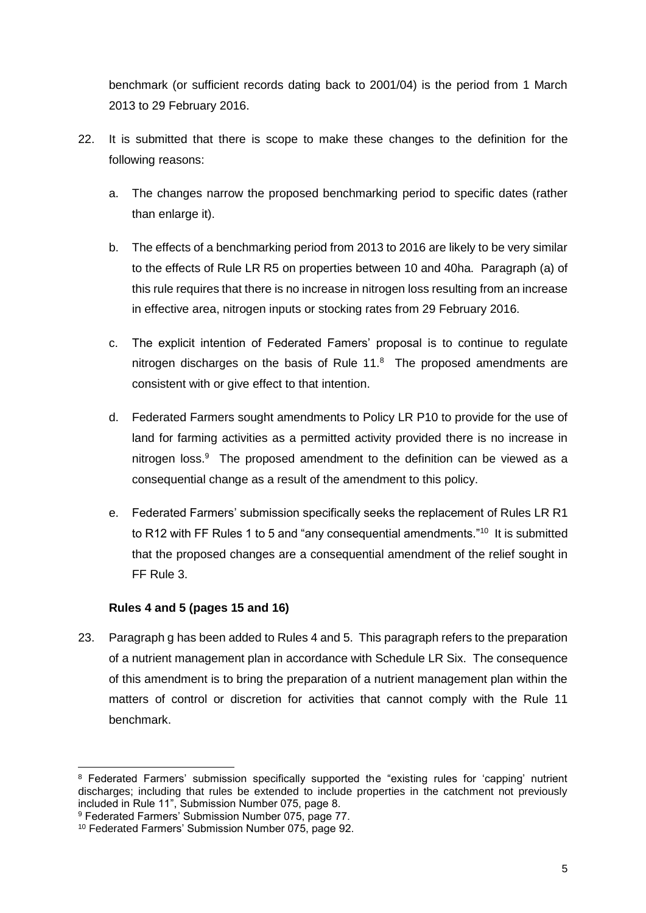benchmark (or sufficient records dating back to 2001/04) is the period from 1 March 2013 to 29 February 2016.

- 22. It is submitted that there is scope to make these changes to the definition for the following reasons:
	- a. The changes narrow the proposed benchmarking period to specific dates (rather than enlarge it).
	- b. The effects of a benchmarking period from 2013 to 2016 are likely to be very similar to the effects of Rule LR R5 on properties between 10 and 40ha. Paragraph (a) of this rule requires that there is no increase in nitrogen loss resulting from an increase in effective area, nitrogen inputs or stocking rates from 29 February 2016.
	- c. The explicit intention of Federated Famers' proposal is to continue to regulate nitrogen discharges on the basis of Rule  $11<sup>8</sup>$  The proposed amendments are consistent with or give effect to that intention.
	- d. Federated Farmers sought amendments to Policy LR P10 to provide for the use of land for farming activities as a permitted activity provided there is no increase in nitrogen loss.<sup>9</sup> The proposed amendment to the definition can be viewed as a consequential change as a result of the amendment to this policy.
	- e. Federated Farmers' submission specifically seeks the replacement of Rules LR R1 to R12 with FF Rules 1 to 5 and "any consequential amendments."<sup>10</sup> It is submitted that the proposed changes are a consequential amendment of the relief sought in FF Rule 3.

### **Rules 4 and 5 (pages 15 and 16)**

23. Paragraph g has been added to Rules 4 and 5. This paragraph refers to the preparation of a nutrient management plan in accordance with Schedule LR Six. The consequence of this amendment is to bring the preparation of a nutrient management plan within the matters of control or discretion for activities that cannot comply with the Rule 11 benchmark.

<sup>-</sup><sup>8</sup> Federated Farmers' submission specifically supported the "existing rules for 'capping' nutrient discharges; including that rules be extended to include properties in the catchment not previously included in Rule 11", Submission Number 075, page 8.

<sup>9</sup> Federated Farmers' Submission Number 075, page 77.

<sup>10</sup> Federated Farmers' Submission Number 075, page 92.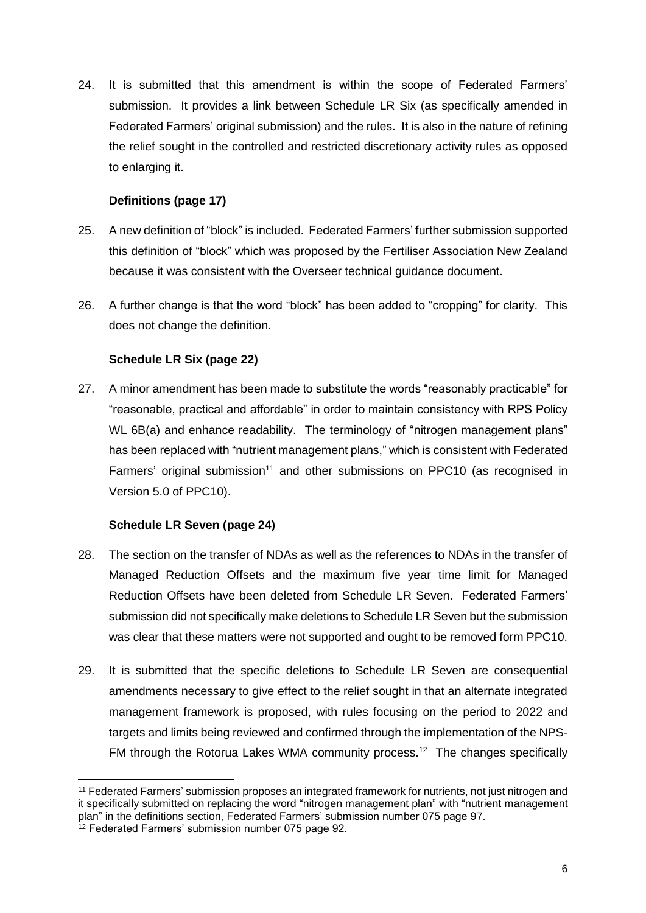24. It is submitted that this amendment is within the scope of Federated Farmers' submission. It provides a link between Schedule LR Six (as specifically amended in Federated Farmers' original submission) and the rules. It is also in the nature of refining the relief sought in the controlled and restricted discretionary activity rules as opposed to enlarging it.

## **Definitions (page 17)**

- 25. A new definition of "block" is included. Federated Farmers' further submission supported this definition of "block" which was proposed by the Fertiliser Association New Zealand because it was consistent with the Overseer technical guidance document.
- 26. A further change is that the word "block" has been added to "cropping" for clarity. This does not change the definition.

## **Schedule LR Six (page 22)**

27. A minor amendment has been made to substitute the words "reasonably practicable" for "reasonable, practical and affordable" in order to maintain consistency with RPS Policy WL 6B(a) and enhance readability. The terminology of "nitrogen management plans" has been replaced with "nutrient management plans," which is consistent with Federated Farmers' original submission<sup>11</sup> and other submissions on PPC10 (as recognised in Version 5.0 of PPC10).

### **Schedule LR Seven (page 24)**

- 28. The section on the transfer of NDAs as well as the references to NDAs in the transfer of Managed Reduction Offsets and the maximum five year time limit for Managed Reduction Offsets have been deleted from Schedule LR Seven. Federated Farmers' submission did not specifically make deletions to Schedule LR Seven but the submission was clear that these matters were not supported and ought to be removed form PPC10.
- 29. It is submitted that the specific deletions to Schedule LR Seven are consequential amendments necessary to give effect to the relief sought in that an alternate integrated management framework is proposed, with rules focusing on the period to 2022 and targets and limits being reviewed and confirmed through the implementation of the NPS-FM through the Rotorua Lakes WMA community process.<sup>12</sup> The changes specifically

<sup>-</sup><sup>11</sup> Federated Farmers' submission proposes an integrated framework for nutrients, not just nitrogen and it specifically submitted on replacing the word "nitrogen management plan" with "nutrient management plan" in the definitions section, Federated Farmers' submission number 075 page 97.

<sup>&</sup>lt;sup>12</sup> Federated Farmers' submission number 075 page 92.